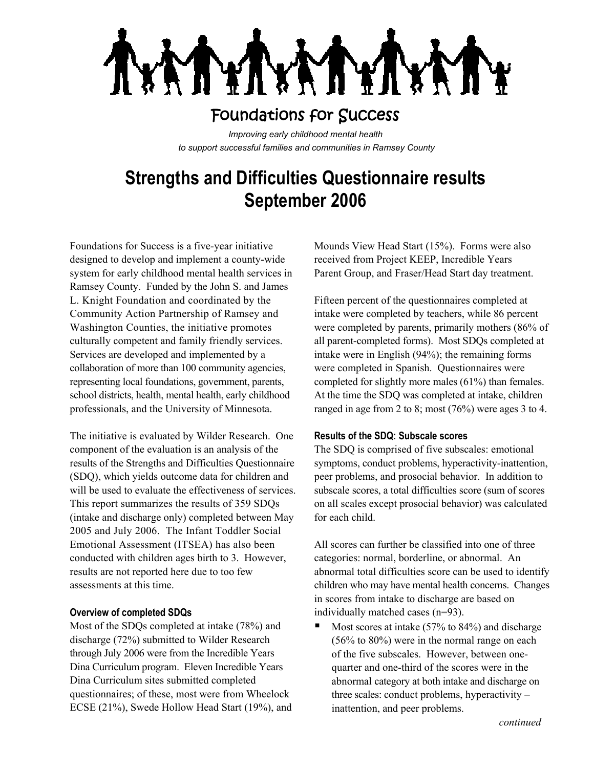## Foundations for Success

*Improving early childhood mental health to support successful families and communities in Ramsey County*

# **Strengths and Difficulties Questionnaire results September 2006**

Foundations for Success is a five-year initiative designed to develop and implement a county-wide system for early childhood mental health services in Ramsey County. Funded by the John S. and James L. Knight Foundation and coordinated by the Community Action Partnership of Ramsey and Washington Counties, the initiative promotes culturally competent and family friendly services. Services are developed and implemented by a collaboration of more than 100 community agencies, representing local foundations, government, parents, school districts, health, mental health, early childhood professionals, and the University of Minnesota.

The initiative is evaluated by Wilder Research. One component of the evaluation is an analysis of the results of the Strengths and Difficulties Questionnaire (SDQ), which yields outcome data for children and will be used to evaluate the effectiveness of services. This report summarizes the results of 359 SDQs (intake and discharge only) completed between May 2005 and July 2006. The Infant Toddler Social Emotional Assessment (ITSEA) has also been conducted with children ages birth to 3. However, results are not reported here due to too few assessments at this time.

#### **Overview of completed SDQs**

Most of the SDQs completed at intake (78%) and discharge (72%) submitted to Wilder Research through July 2006 were from the Incredible Years Dina Curriculum program. Eleven Incredible Years Dina Curriculum sites submitted completed questionnaires; of these, most were from Wheelock ECSE (21%), Swede Hollow Head Start (19%), and

Mounds View Head Start (15%). Forms were also received from Project KEEP, Incredible Years Parent Group, and Fraser/Head Start day treatment.

Fifteen percent of the questionnaires completed at intake were completed by teachers, while 86 percent were completed by parents, primarily mothers (86% of all parent-completed forms). Most SDQs completed at intake were in English (94%); the remaining forms were completed in Spanish. Questionnaires were completed for slightly more males (61%) than females. At the time the SDQ was completed at intake, children ranged in age from 2 to 8; most (76%) were ages 3 to 4.

#### **Results of the SDQ: Subscale scores**

The SDQ is comprised of five subscales: emotional symptoms, conduct problems, hyperactivity-inattention, peer problems, and prosocial behavior. In addition to subscale scores, a total difficulties score (sum of scores on all scales except prosocial behavior) was calculated for each child.

All scores can further be classified into one of three categories: normal, borderline, or abnormal. An abnormal total difficulties score can be used to identify children who may have mental health concerns. Changes in scores from intake to discharge are based on individually matched cases (n=93).

 Most scores at intake (57% to 84%) and discharge (56% to 80%) were in the normal range on each of the five subscales. However, between onequarter and one-third of the scores were in the abnormal category at both intake and discharge on three scales: conduct problems, hyperactivity – inattention, and peer problems.